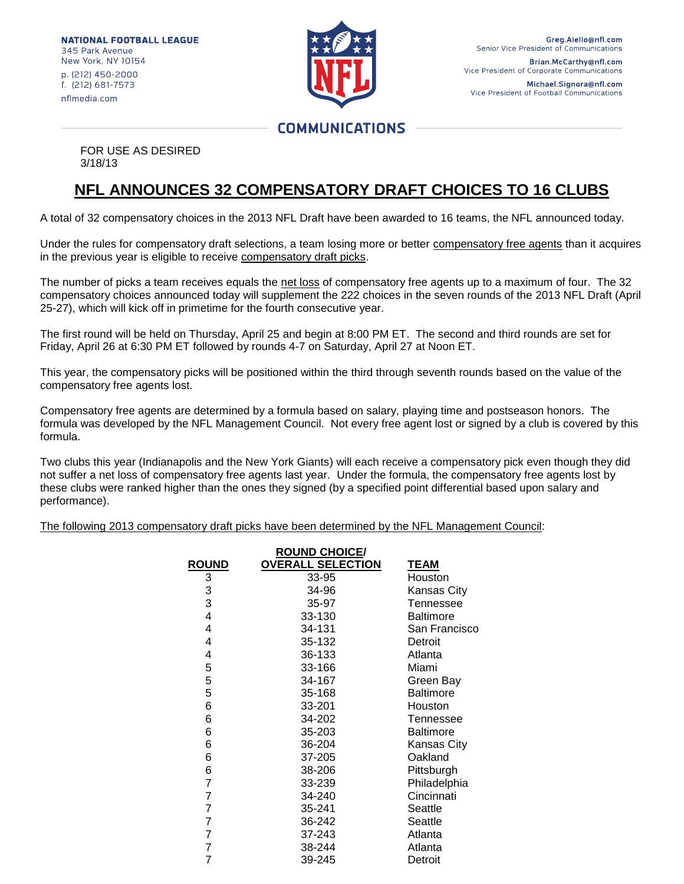**NATIONAL FOOTBALL LEAGUE** 345 Park Avenue New York, NY 10154 p. (212) 450-2000 f. (212) 681-7573 nflmedia com



Vice President of Football Communications

## **COMMUNICATIONS**

FOR USE AS DESIRED 3/18/13

## **NFL ANNOUNCES 32 COMPENSATORY DRAFT CHOICES TO 16 CLUBS**

A total of 32 compensatory choices in the 2013 NFL Draft have been awarded to 16 teams, the NFL announced today.

Under the rules for compensatory draft selections, a team losing more or better compensatory free agents than it acquires in the previous year is eligible to receive compensatory draft picks.

The number of picks a team receives equals the net loss of compensatory free agents up to a maximum of four. The 32 compensatory choices announced today will supplement the 222 choices in the seven rounds of the 2013 NFL Draft (April 25-27), which will kick off in primetime for the fourth consecutive year.

The first round will be held on Thursday, April 25 and begin at 8:00 PM ET. The second and third rounds are set for Friday, April 26 at 6:30 PM ET followed by rounds 4-7 on Saturday, April 27 at Noon ET.

This year, the compensatory picks will be positioned within the third through seventh rounds based on the value of the compensatory free agents lost.

Compensatory free agents are determined by a formula based on salary, playing time and postseason honors. The formula was developed by the NFL Management Council. Not every free agent lost or signed by a club is covered by this formula.

Two clubs this year (Indianapolis and the New York Giants) will each receive a compensatory pick even though they did not suffer a net loss of compensatory free agents last year. Under the formula, the compensatory free agents lost by these clubs were ranked higher than the ones they signed (by a specified point differential based upon salary and performance).

The following 2013 compensatory draft picks have been determined by the NFL Management Council:

| <b>ROUND CHOICE/</b> |                          |                  |  |  |  |  |  |
|----------------------|--------------------------|------------------|--|--|--|--|--|
| <b>ROUND</b>         | <b>OVERALL SELECTION</b> | <b>TEAM</b>      |  |  |  |  |  |
| 3                    | 33-95                    | Houston          |  |  |  |  |  |
| 3                    | 34-96                    | Kansas City      |  |  |  |  |  |
| 3                    | 35-97                    | Tennessee        |  |  |  |  |  |
| 4                    | 33-130                   | <b>Baltimore</b> |  |  |  |  |  |
| 4                    | 34-131                   | San Francisco    |  |  |  |  |  |
| 4                    | 35-132                   | Detroit          |  |  |  |  |  |
| 4                    | 36-133                   | Atlanta          |  |  |  |  |  |
| 5                    | 33-166                   | Miami            |  |  |  |  |  |
| 5                    | 34-167                   | Green Bay        |  |  |  |  |  |
| 5                    | 35-168                   | <b>Baltimore</b> |  |  |  |  |  |
| 6                    | 33-201                   | Houston          |  |  |  |  |  |
| 6                    | 34-202                   | Tennessee        |  |  |  |  |  |
| 6                    | 35-203                   | <b>Baltimore</b> |  |  |  |  |  |
| 6                    | 36-204                   | Kansas City      |  |  |  |  |  |
| 6                    | 37-205                   | Oakland          |  |  |  |  |  |
| 6                    | 38-206                   | Pittsburgh       |  |  |  |  |  |
| 7                    | 33-239                   | Philadelphia     |  |  |  |  |  |
| 7                    | 34-240                   | Cincinnati       |  |  |  |  |  |
| 7                    | 35-241                   | Seattle          |  |  |  |  |  |
| 7                    | 36-242                   | Seattle          |  |  |  |  |  |
| 7                    | 37-243                   | Atlanta          |  |  |  |  |  |
| 7                    | 38-244                   | Atlanta          |  |  |  |  |  |
| 7                    | 39-245                   | Detroit          |  |  |  |  |  |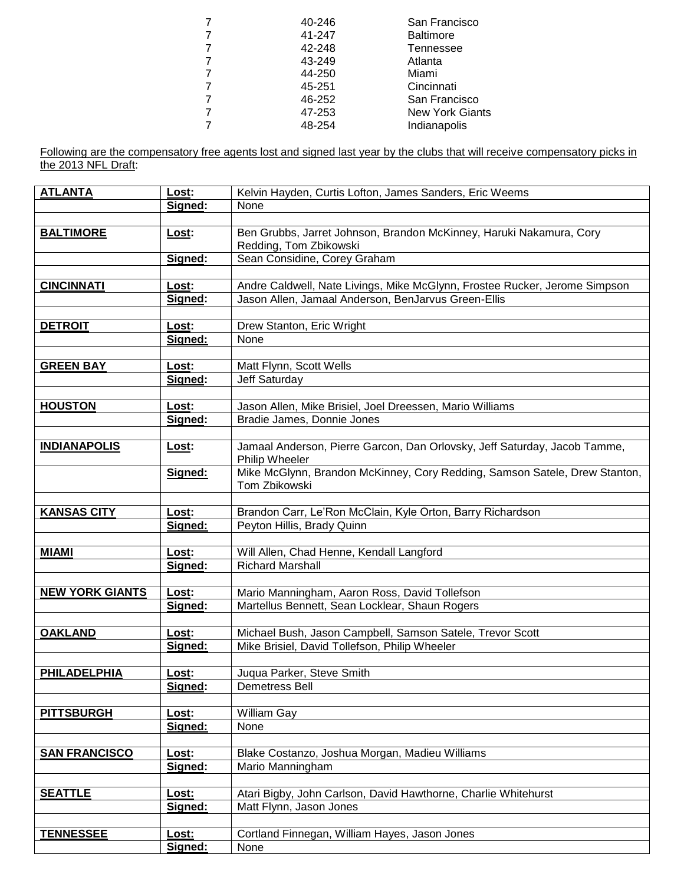| 40-246 | San Francisco          |
|--------|------------------------|
| 41-247 | <b>Baltimore</b>       |
| 42-248 | Tennessee              |
| 43-249 | Atlanta                |
| 44-250 | Miami                  |
| 45-251 | Cincinnati             |
| 46-252 | San Francisco          |
| 47-253 | <b>New York Giants</b> |
| 48-254 | Indianapolis           |
|        |                        |

Following are the compensatory free agents lost and signed last year by the clubs that will receive compensatory picks in the 2013 NFL Draft:

| <b>ATLANTA</b>         | Lost:   | Kelvin Hayden, Curtis Lofton, James Sanders, Eric Weems                                      |  |
|------------------------|---------|----------------------------------------------------------------------------------------------|--|
|                        | Signed: | None                                                                                         |  |
|                        |         |                                                                                              |  |
| <b>BALTIMORE</b>       | Lost:   | Ben Grubbs, Jarret Johnson, Brandon McKinney, Haruki Nakamura, Cory                          |  |
|                        |         | Redding, Tom Zbikowski                                                                       |  |
|                        | Signed: | Sean Considine, Corey Graham                                                                 |  |
|                        |         |                                                                                              |  |
| <b>CINCINNATI</b>      | Lost:   | Andre Caldwell, Nate Livings, Mike McGlynn, Frostee Rucker, Jerome Simpson                   |  |
|                        | Signed: | Jason Allen, Jamaal Anderson, BenJarvus Green-Ellis                                          |  |
|                        |         |                                                                                              |  |
| <b>DETROIT</b>         | Lost:   | Drew Stanton, Eric Wright                                                                    |  |
|                        | Signed: | None                                                                                         |  |
|                        |         |                                                                                              |  |
| <b>GREEN BAY</b>       | Lost:   | Matt Flynn, Scott Wells                                                                      |  |
|                        | Signed: | Jeff Saturday                                                                                |  |
|                        |         |                                                                                              |  |
| <b>HOUSTON</b>         | Lost:   | Jason Allen, Mike Brisiel, Joel Dreessen, Mario Williams                                     |  |
|                        | Signed: | Bradie James, Donnie Jones                                                                   |  |
|                        |         |                                                                                              |  |
| <b>INDIANAPOLIS</b>    | Lost:   | Jamaal Anderson, Pierre Garcon, Dan Orlovsky, Jeff Saturday, Jacob Tamme,                    |  |
|                        | Signed: | Philip Wheeler<br>Mike McGlynn, Brandon McKinney, Cory Redding, Samson Satele, Drew Stanton, |  |
|                        |         | Tom Zbikowski                                                                                |  |
|                        |         |                                                                                              |  |
| <b>KANSAS CITY</b>     | Lost:   | Brandon Carr, Le'Ron McClain, Kyle Orton, Barry Richardson                                   |  |
|                        | Signed: | Peyton Hillis, Brady Quinn                                                                   |  |
|                        |         |                                                                                              |  |
| <b>MIAMI</b>           | Lost:   | Will Allen, Chad Henne, Kendall Langford                                                     |  |
|                        | Signed: | <b>Richard Marshall</b>                                                                      |  |
|                        |         |                                                                                              |  |
| <b>NEW YORK GIANTS</b> | Lost:   | Mario Manningham, Aaron Ross, David Tollefson                                                |  |
|                        | Signed: | Martellus Bennett, Sean Locklear, Shaun Rogers                                               |  |
|                        |         |                                                                                              |  |
| <b>OAKLAND</b>         | Lost:   | Michael Bush, Jason Campbell, Samson Satele, Trevor Scott                                    |  |
|                        | Signed: | Mike Brisiel, David Tollefson, Philip Wheeler                                                |  |
|                        |         |                                                                                              |  |
| <b>PHILADELPHIA</b>    | Lost:   | Juqua Parker, Steve Smith                                                                    |  |
|                        | Signed: | Demetress Bell                                                                               |  |
|                        |         |                                                                                              |  |
| <b>PITTSBURGH</b>      | Lost:   | William Gay                                                                                  |  |
|                        | Signed: | None                                                                                         |  |
|                        |         |                                                                                              |  |
| <b>SAN FRANCISCO</b>   | Lost:   | Blake Costanzo, Joshua Morgan, Madieu Williams                                               |  |
|                        | Signed: | Mario Manningham                                                                             |  |
|                        |         |                                                                                              |  |
| <b>SEATTLE</b>         | Lost:   | Atari Bigby, John Carlson, David Hawthorne, Charlie Whitehurst                               |  |
|                        | Signed: | Matt Flynn, Jason Jones                                                                      |  |
| <b>TENNESSEE</b>       | Lost:   | Cortland Finnegan, William Hayes, Jason Jones                                                |  |
|                        | Signed: | None                                                                                         |  |
|                        |         |                                                                                              |  |